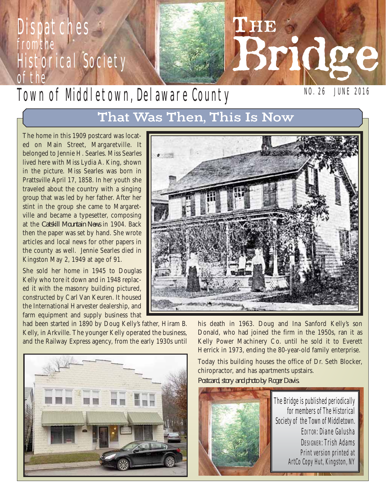# **Dispatches** from the Historical Society of the

# Town of Mddletown, Delaware County

NO. 26 JUNE 2016

Bridge

# That Was Then, This Is Now

The home in this 1909 postcard was located on Main Street, Margaretville. It belonged to Jennie H. Searles. Miss Searles lived here with Miss Lydia A. King, shown in the picture. Miss Searles was born in Prattsville April 17, 1858. In her youth she traveled about the country with a singing group that was led by her father. After her stint in the group she came to Margaretville and became a typesetter, composing at the *Catskill Mountain News* in 1904. Back then the paper was set by hand. She wrote articles and local news for other papers in the county as well. Jennie Searles died in Kingston May 2, 1949 at age of 91.

She sold her home in 1945 to Douglas Kelly who tore it down and in 1948 replaced it with the masonry building pictured, constructed by Carl Van Keuren. It housed the International Harvester dealership, and farm equipment and supply business that

had been started in 1890 by Doug Kelly's father, Hiram B. Kelly, in Arkville. The younger Kelly operated the business, and the Railway Express agency, from the early 1930s until





LHE

his death in 1963. Doug and Ina Sanford Kelly's son Donald, who had joined the firm in the 1950s, ran it as Kelly Power Machinery Co. until he sold it to Everett Herrick in 1973, ending the 80-year-old family enterprise.

Today this building houses the office of Dr. Seth Blocker, chiropractor, and has apartments upstairs.

*Postcard, story and photo by Roger Davis.*

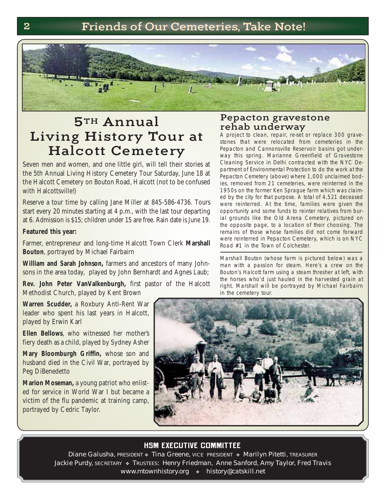

# 5TH Annual Living History Tour at Halcott Cemetery

Seven men and women, and one little girl, will tell their stories at the 5th Annual Living History Cemetery Tour Saturday, June 18 at the Halcott Cemetery on Bouton Road, Halcott (not to be confused with Halcottsville!)

Reserve a tour time by calling Jane Miller at 845-586-4736. Tours start every 20 minutes starting at 4 p.m., with the last tour departing at 6. Admission is \$15; children under 15 are free. Rain date is June 19.

#### **Featured this year:**

Farmer, entrepreneur and long-time Halcott Town Clerk **Marshall Bouton**, portrayed by Michael Fairbairn

William and Sarah Johnson, farmers and ancestors of many Johnsons in the area today, played by John Bernhardt and Agnes Laub;

**Rev. John Peter VanValkenburgh,** first pastor of the Halcott Methodist Church, played by Kent Brown

#### Pepacton gravestone rehab underway

A project to clean, repair, re-set or replace 300 gravestones that were relocated from cemeteries in the Pepacton and Cannonsville Reservoir basins got underway this spring. Marianne Greenfield of Gravestone Cleaning Service in Delhi contracted with the NYC Department of Environmental Protection to do the work at the Pepacton Cemetery (above) where 1,000 unclaimed bodies, removed from 21 cemeteries, were reinterred in the 1950s on the former Ken Sprague farm which was claimed by the city for that purpose. A total of 4,521 deceased were reinterred. At the time, families were given the opportunity and some funds to reinter relatives from burial grounds like the Old Arena Cemetery, pictured on the opposite page, to a location of their choosing. The re mains of those whose families did not come forward were reinterred in Pepacton Cemetery, which is on NYC Road #1 in the Town of Colchester.

Marshall Bouton (whose farm is pictured below) was a man with a passion for steam. Here's a crew on the Bouton's Halcott farm using a steam thresher at left, with the horses who'd just hauled in the harvested grain at right. Marshall will be portrayed by Michael Fairbairn in the cemetery tour.

**Warren Scudder,** a Roxbury Anti-Rent War leader who spent his last years in Halcott, played by Erwin Karl

**Ellen Bellows**, who witnessed her mother's fiery death as a child, played by Sydney Asher

**Mary Bloomburgh Griffin,** whose son and husband died in the Civil War, portrayed by Peg DiBenedetto

**Marion Moseman, a young patriot who enlist**ed for service in World War I but became a victim of the flu pandemic at training camp, portrayed by Cedric Taylor.



#### **HSM EXECUTIVE COMMITTEE**

Diane Galusha, PRESIDENT • Tina Greene, VICE PRESIDENT • Marilyn Pitetti, TREASURER Jackie Purdy, SECRETARY • TRUSTEES: Henry Friedman, Anne Sanford, Amy Taylor, Fred Travis www.mtownhistory.org • history@catskill.net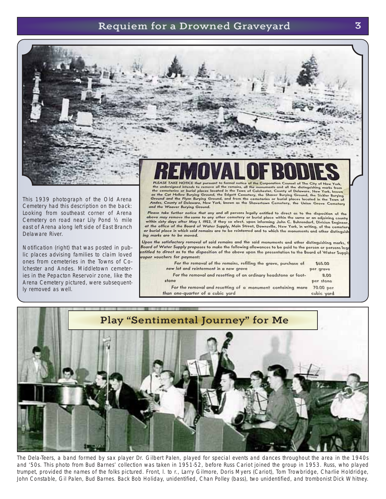#### Requiem for a Drowned Graveyard 3



This 1939 photograph of the Old Arena Cemetery had this description on the back: Looking from southeast corner of Arena Cemetery on road near Lily Pond ½ mile east of Arena along left side of East Branch Delaware River.

Notification (right) that was posted in public places advising families to claim loved ones from cemeteries in the Towns of Colchester and Andes. Middletown cemeteries in the Pepacton Reservoir zone, like the Arena Cemetery pictured, were subsequently removed as well.

# The undersigned intends to remove all the remains, all the monuments and all the distinguishing marks from<br>the connecteive or burial places located in the Town of Colchester, County of Delaware, New York, known<br>as the Cat and the Weaver Burying Ground.

Please take further notice that any and all persons legally entitled to direct as to the disposition of the recess reason terms nonces had a personal experimental parameter of the disposition of the context parameter of the same of the same of the same of the same of the same of the same of the same of the within sixty days afte at the office of the Board of Water Supply, Main Street, Downsville, New York, in writing, of the cemeter or burial place in which said remains are to be reinterred and to which the monuments and other distinguist ing marks are to be moved.

Upon the satisfactory removal of said remains and the said monuments and other distinguishing marks, Board of Water Supply proposes to make the following allowances to be paid to the person or persons leg intitled to direct as to the disposition of the above upon the presentation to the Board of Water Supply oper vouchers for payment:

For the removal of the remains, refilling the grave, purchase of \$65.00 new lot and reinterment in a new grave per grave

For the removal and resetting of an ordinary headstone or foot-8.00 stone per stone

70.00 per

cubic yard

For the removal and resetting of a monument containing more than one-quarter of a cubic yard



The Dela-Teers, a band formed by sax player Dr. Gilbert Palen, played for special events and dances throughout the area in the 1940s and '50s. This photo from Bud Barnes' collection was taken in 1951-52, before Russ Cariot joined the group in 1953. Russ, who played trumpet, provided the names of the folks pictured. Front, l. to r., Larry Gilmore, Doris Myers (Cariot), Tom Trowbridge, Charlie Holdridge, John Constable, Gil Palen, Bud Barnes. Back Bob Holiday, unidentified, Chan Polley (bass), two unidentified, and trombonist Dick Whitney.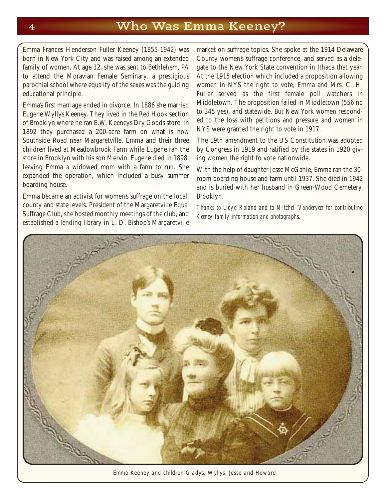### 4 Who Was Emma Keeney?

Emma Frances Henderson Fuller Keeney (1855-1942) was born in New York City and was raised among an extended family of women. At age 12, she was sent to Bethlehem, PA to attend the Moravian Female Seminary, a prestigious parochial school where equality of the sexes was the guiding educational principle.

Emma's first marriage ended in divorce. In 1886 she married Eugene Wyllys Keeney. They lived in the Red Hook section of Brooklyn where he ran E.W. Keeneys Dry Goods store. In 1892 they purchased a 200-acre farm on what is now Southside Road near Margaretville. Emma and their three children lived at Meadowbrook Farm while Eugene ran the store in Brooklyn with his son Mervin. Eugene died in 1898, leaving Emma a widowed mom with a farm to run. She expanded the operation, which included a busy summer boarding house.

Emma became an activist for women's suffrage on the local, county and state levels. President of the Margaretville Equal Suffrage Club, she hosted monthly meetings of the club, and established a lending library in L. D. Bishop's Margaretville

market on suffrage topics. She spoke at the 1914 Delaware County women's suffrage conference, and served as a delegate to the New York State convention in Ithaca that year. At the 1915 election which included a proposition allowing women in NYS the right to vote, Emma and Mrs. C. H. Fuller served as the first female poll watchers in Middletown. The proposition failed in Middletown (556 no to 345 yes), and statewide. But New York women responded to the loss with petitions and pressure and women in NYS were granted the right to vote in 1917.

The 19th amendment to the US Constitution was adopted by Congress in 1919 and ratified by the states in 1920 giving women the right to vote nationwide.

With the help of daughter Jesse McGahie, Emma ran the 30 room boarding house and farm until 1937. She died in 1942 and is buried with her husband in Green-Wood Cemetery, Brooklyn.

*Thanks to Lloyd Roland and to Mitchell Vanderveer for contributing Keeney family information and photographs.*



Emma Keeney and children Gladys, Wyllys, Jesse and Howard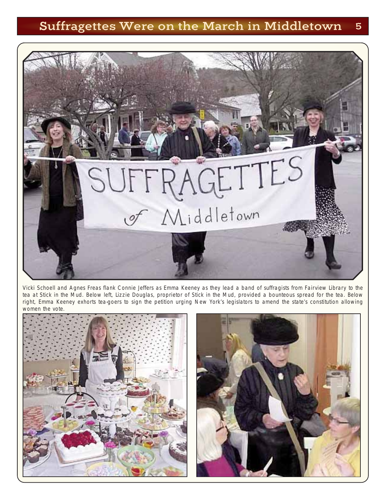## Suffragettes Were on the March in Middletown 5



Vicki Schoell and Agnes Freas flank Connie Jeffers as Emma Keeney as they lead a band of suffragists from Fairview Library to the tea at Stick in the Mud. Below left, Lizzie Douglas, proprietor of Stick in the Mud, provided a bounteous spread for the tea. Below right, Emma Keeney exhorts tea-goers to sign the petition urging New York's legislators to amend the state's constitution allowing women the vote



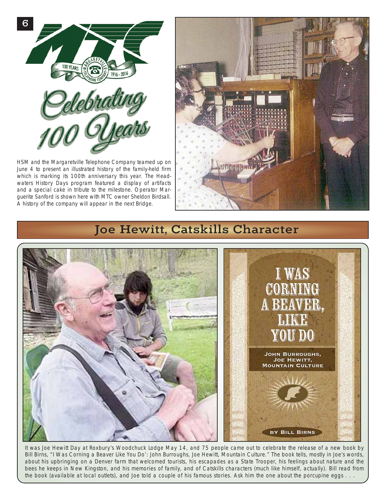

HSM and the Margaretville Telephone Company teamed up on June 4 to present an illustrated history of the family-held firm which is marking its 100th anniversary this year. The Headwaters History Days program featured a display of artifacts and a special cake in tribute to the milestone. Operator Marguerite Sanford is shown here with MTC owner Sheldon Birdsall. A history of the company will appear in the next Bridge.



## Joe Hewitt, Catskills Character



It was Joe Hewitt Day at Roxbury's Woodchuck Lodge May 14, and 75 people came out to celebrate the release of a new book by Bill Birns, "I Was Corning a Beaver Like You Do': John Burroughs, Joe Hewitt, Mountain Culture." The book tells, mostly in Joe's words, about his upbringing on a Denver farm that welcomed tourists, his escapades as a State Trooper, his feelings about nature and the bees he keeps in New Kingston, and his memories of family, and of Catskills characters (much like himself, actually). Bill read from the book (available at local outlets), and Joe told a couple of his famous stories. Ask him the one about the porcupine eggs . . .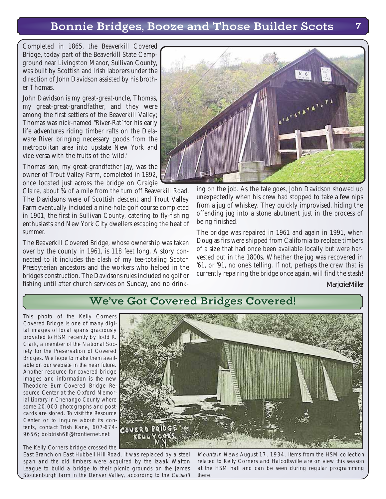### Bonnie Bridges, Booze and Those Builder Scots 7

Completed in 1865, the Beaverkill Covered Bridge, today part of the Beaverkill State Campground near Livingston Manor, Sullivan County, was built by Scottish and Irish laborers under the direction of John Davidson assisted by his brother Thomas.

John Davidson is my great-great-uncle, Thomas, my great-great-grandfather, and they were among the first settlers of the Beaverkill Valley; Thomas was nick-named "River-Rat' for his early life adventures riding timber rafts on the Delaware River bringing necessary goods from the metropolitan area into upstate New York and vice versa with the fruits of the 'wild.'

Thomas' son, my great-grandfather Jay, was the owner of Trout Valley Farm, completed in 1892, once located just across the bridge on Craigie

Claire, about ¾ of a mile from the turn off Beaverkill Road. The Davidsons were of Scottish descent and Trout Valley Farm eventually included a nine-hole golf course completed in 1901, the first in Sullivan County, catering to fly-fishing enthusiasts and New York City dwellers escaping the heat of summer.

The Beaverkill Covered Bridge, whose ownership was taken over by the county in 1961, is 118 feet long. A story connected to it includes the clash of my tee-totaling Scotch Presbyterian ancestors and the workers who helped in the bridge's construction. The Davidsons rules included no golf or fishing until after church services on Sunday, and no drink -



ing on the job. As the tale goes, John Davidson showed up unexpectedly when his crew had stopped to take a few nips from a jug of whiskey. They quickly improvised, hiding the offending jug into a stone abutment just in the process of being finished.

The bridge was repaired in 1961 and again in 1991, when Douglas firs were shipped from California to replace timbers of a size that had once been available locally but were harvested out in the 1800s. Whether the jug was recovered in '61, or '91, no one's telling. If not, perhaps the crew that is currently repairing the bridge once again, will find the stash!

*Marjorie Miller*

### We've Got Covered Bridges Covered!

This photo of the Kelly Corners Covered Bridge is one of many digital images of local spans graciously provided to HSM recently by Todd R. Clark, a member of the National Society for the Preservation of Covered Bridges. We hope to make them available on our website in the near future. Another resource for covered bridge images and information is the new Theodore Burr Covered Bridge Resource Center at the Oxford Memorial Library in Chenango County where some 20,000 photographs and postcards are stored. To visit the Resource Center or to inquire about its contents, contact Trish Kane, 607-674- COVERD BRIDGE 9656; bobtrish68@frontiernet.net.

The Kelly Corners bridge crossed the East Branch on East Hubbell Hill Road. It was replaced by a steel span and the old timbers were acquired by the Izaak Walton League to build a bridge to their picnic grounds on the James Stoutenburgh farm in the Denver Valley, according to the Catskill

Mountain News August 17, 1934. Items from the HSM collection related to Kelly Corners and Halcottsville are on view this season at the HSM hall and can be seen during regular programming there.